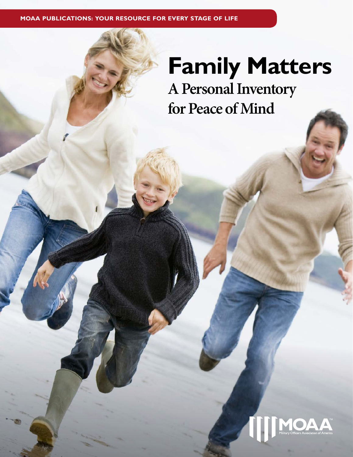**MOAA PUBLICATIONS: YOUR RESOURCE FOR EVERY STAGE OF LIFE**

# **Family Matters A Personal Inventory**

**for Peace of Mind**

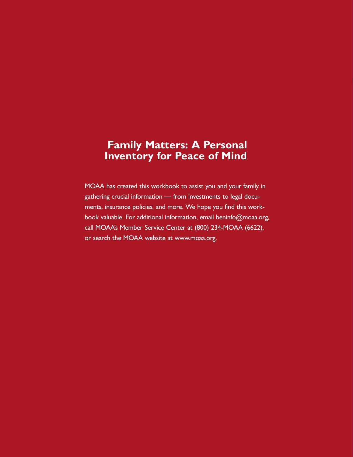# **Family Matters: A Personal Inventory for Peace of Mind**

MOAA has created this workbook to assist you and your family in gathering crucial information — from investments to legal documents, insurance policies, and more. We hope you find this workbook valuable. For additional information, email beninfo@moaa.org, call MOAA's Member Service Center at (800) 234-MOAA (6622), or search the MOAA website at www.moaa.org.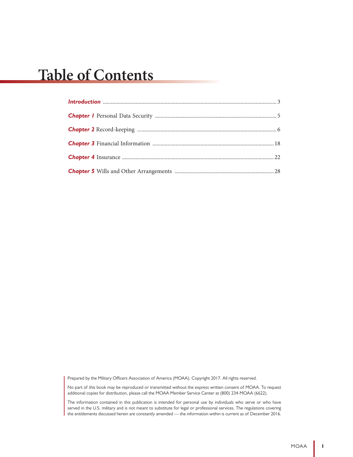# **Table of Contents**

Prepared by the Military Officers Association of America (MOAA). Copyright 2017. All rights reserved.

No part of this book may be reproduced or transmitted without the express written consent of MOAA. To request additional copies for distribution, please call the MOAA Member Service Center at (800) 234-MOAA (6622).

The information contained in this publication is intended for personal use by individuals who serve or who have served in the U.S. military and is not meant to substitute for legal or professional services. The regulations covering the entitlements discussed herein are constantly amended — the information within is current as of December 2016.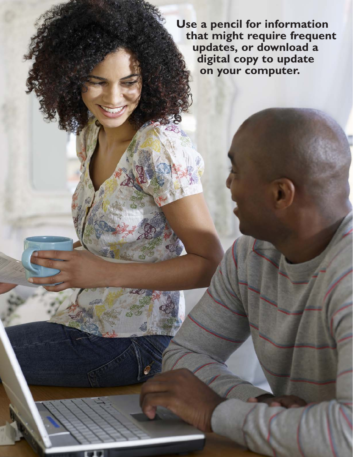**Use a pencil for information that might require frequent updates, or download a digital copy to update on your computer.**

MOAA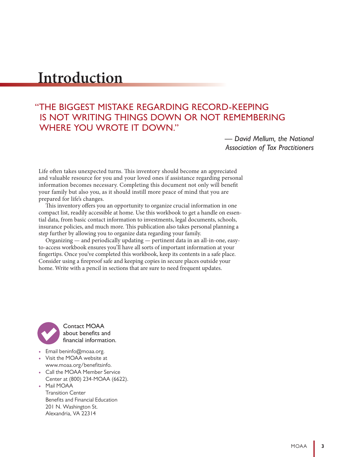# **Introduction**

# "THE BIGGEST MISTAKE REGARDING RECORD-KEEPING IS NOT WRITING THINGS DOWN OR NOT REMEMBERING WHERE YOU WROTE IT DOWN."

*— David Mellum, the National Association of Tax Practitioners*

Life often takes unexpected turns. This inventory should become an appreciated and valuable resource for you and your loved ones if assistance regarding personal information becomes necessary. Completing this document not only will benefit your family but also you, as it should instill more peace of mind that you are prepared for life's changes.

This inventory offers you an opportunity to organize crucial information in one compact list, readily accessible at home. Use this workbook to get a handle on essential data, from basic contact information to investments, legal documents, schools, insurance policies, and much more. This publication also takes personal planning a step further by allowing you to organize data regarding your family.

Organizing — and periodically updating — pertinent data in an all-in-one, easyto-access workbook ensures you'll have all sorts of important information at your fingertips. Once you've completed this workbook, keep its contents in a safe place. Consider using a fireproof safe and keeping copies in secure places outside your home. Write with a pencil in sections that are sure to need frequent updates.



Contact MOAA about benefits and financial information.

- Email beninfo@moaa.org.
- Visit the MOAA website at www.moaa.org/benefitsinfo.
- Call the MOAA Member Service Center at (800) 234-MOAA (6622).
- Mail MOAA

Transition Center Benefits and Financial Education 201 N. Washington St. Alexandria, VA 22314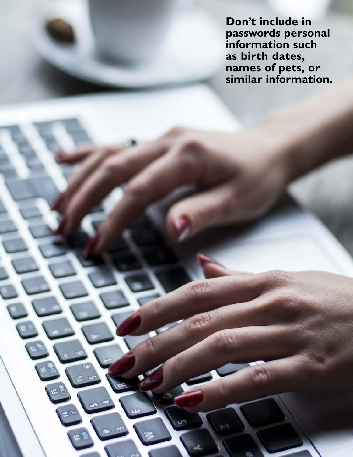**Don't include in passwords personal information such as birth dates, names of pets, or similar information.**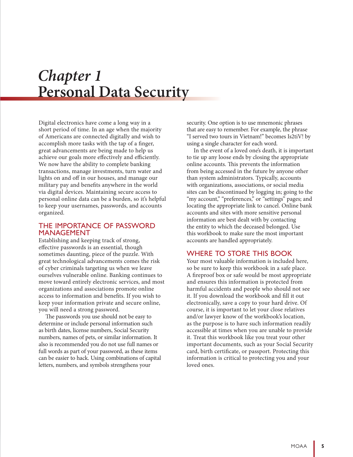# *Chapter 1* **Personal Data Security**

Digital electronics have come a long way in a short period of time. In an age when the majority of Americans are connected digitally and wish to accomplish more tasks with the tap of a finger, great advancements are being made to help us achieve our goals more effectively and efficiently. We now have the ability to complete banking transactions, manage investments, turn water and lights on and off in our houses, and manage our military pay and benefits anywhere in the world via digital devices. Maintaining secure access to personal online data can be a burden, so it's helpful to keep your usernames, passwords, and accounts organized.

#### THE IMPORTANCE OF PASSWORD MANAGEMENT

Establishing and keeping track of strong, effective passwords is an essential, though sometimes daunting, piece of the puzzle. With great technological advancements comes the risk of cyber criminals targeting us when we leave ourselves vulnerable online. Banking continues to move toward entirely electronic services, and most organizations and associations promote online access to information and benefits. If you wish to keep your information private and secure online, you will need a strong password.

The passwords you use should not be easy to determine or include personal information such as birth dates, license numbers, Social Security numbers, names of pets, or similar information. It also is recommended you do not use full names or full words as part of your password, as these items can be easier to hack. Using combinations of capital letters, numbers, and symbols strengthens your

security. One option is to use mnemonic phrases that are easy to remember. For example, the phrase "I served two tours in Vietnam!" becomes Is2tiV! by using a single character for each word.

In the event of a loved one's death, it is important to tie up any loose ends by closing the appropriate online accounts. This prevents the information from being accessed in the future by anyone other than system administrators. Typically, accounts with organizations, associations, or social media sites can be discontinued by logging in; going to the "my account," "preferences," or "settings" pages; and locating the appropriate link to cancel. Online bank accounts and sites with more sensitive personal information are best dealt with by contacting the entity to which the deceased belonged. Use this workbook to make sure the most important accounts are handled appropriately.

#### WHERE TO STORE THIS BOOK

Your most valuable information is included here, so be sure to keep this workbook in a safe place. A fireproof box or safe would be most appropriate and ensures this information is protected from harmful accidents and people who should not see it. If you download the workbook and fill it out electronically, save a copy to your hard drive. Of course, it is important to let your close relatives and/or lawyer know of the workbook's location, as the purpose is to have such information readily accessible at times when you are unable to provide it. Treat this workbook like you treat your other important documents, such as your Social Security card, birth certificate, or passport. Protecting this information is critical to protecting you and your loved ones.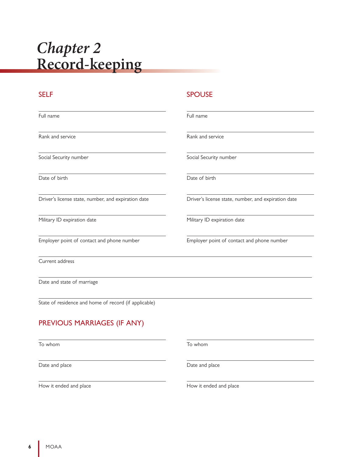# *Chapter 2* **Record-keeping**

Full name

Rank and service

Social Security number

Date of birth

Driver's license state, number, and expiration date

Military ID expiration date

Employer point of contact and phone number

Current address

Date and state of marriage

State of residence and home of record (if applicable)

# PREVIOUS MARRIAGES (IF ANY)

To whom

Date and place

How it ended and place

### SELF SELF SPOUSE

| Full name              |  |
|------------------------|--|
|                        |  |
| Rank and service       |  |
| Social Security number |  |

Date of birth

Driver's license state, number, and expiration date

Military ID expiration date

Employer point of contact and phone number

To whom

Date and place

How it ended and place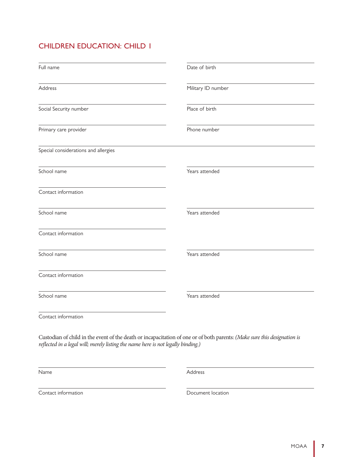| Full name                                                                        | Date of birth                                                                                                            |
|----------------------------------------------------------------------------------|--------------------------------------------------------------------------------------------------------------------------|
| Address                                                                          | Military ID number                                                                                                       |
| Social Security number                                                           | Place of birth                                                                                                           |
| Primary care provider                                                            | Phone number                                                                                                             |
| Special considerations and allergies                                             |                                                                                                                          |
| School name                                                                      | Years attended                                                                                                           |
| Contact information                                                              |                                                                                                                          |
| School name                                                                      | Years attended                                                                                                           |
| Contact information                                                              |                                                                                                                          |
| School name                                                                      | Years attended                                                                                                           |
| Contact information                                                              |                                                                                                                          |
| School name                                                                      | Years attended                                                                                                           |
| Contact information                                                              |                                                                                                                          |
| reflected in a legal will; merely listing the name here is not legally binding.) | Custodian of child in the event of the death or incapacitation of one or of both parents: (Make sure this designation is |

Name

Address

Contact information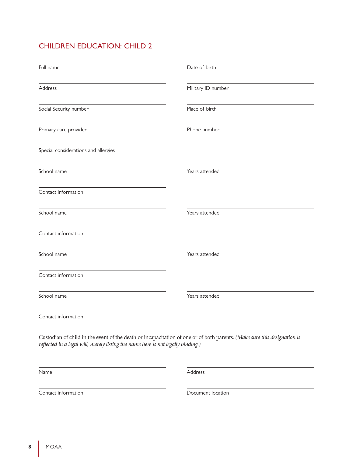| Full name                                                                        | Date of birth                                                                                                            |
|----------------------------------------------------------------------------------|--------------------------------------------------------------------------------------------------------------------------|
| <b>Address</b>                                                                   | Military ID number                                                                                                       |
| Social Security number                                                           | Place of birth                                                                                                           |
| Primary care provider                                                            | Phone number                                                                                                             |
| Special considerations and allergies                                             |                                                                                                                          |
| School name                                                                      | Years attended                                                                                                           |
| Contact information                                                              |                                                                                                                          |
| School name                                                                      | Years attended                                                                                                           |
| Contact information                                                              |                                                                                                                          |
| School name                                                                      | Years attended                                                                                                           |
| Contact information                                                              |                                                                                                                          |
| School name                                                                      | Years attended                                                                                                           |
| Contact information                                                              |                                                                                                                          |
| reflected in a legal will; merely listing the name here is not legally binding.) | Custodian of child in the event of the death or incapacitation of one or of both parents: (Make sure this designation is |

Name

Address

Contact information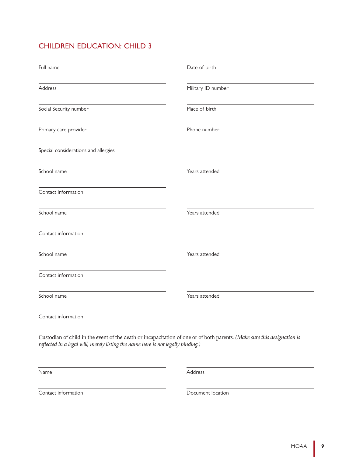| Full name                                                                        | Date of birth                                                                                                            |
|----------------------------------------------------------------------------------|--------------------------------------------------------------------------------------------------------------------------|
| <b>Address</b>                                                                   | Military ID number                                                                                                       |
| Social Security number                                                           | Place of birth                                                                                                           |
| Primary care provider                                                            | Phone number                                                                                                             |
| Special considerations and allergies                                             |                                                                                                                          |
| School name                                                                      | Years attended                                                                                                           |
| Contact information                                                              |                                                                                                                          |
| School name                                                                      | Years attended                                                                                                           |
| Contact information                                                              |                                                                                                                          |
| School name                                                                      | Years attended                                                                                                           |
| Contact information                                                              |                                                                                                                          |
| School name                                                                      | Years attended                                                                                                           |
| Contact information                                                              |                                                                                                                          |
| reflected in a legal will; merely listing the name here is not legally binding.) | Custodian of child in the event of the death or incapacitation of one or of both parents: (Make sure this designation is |

Name

Address

Contact information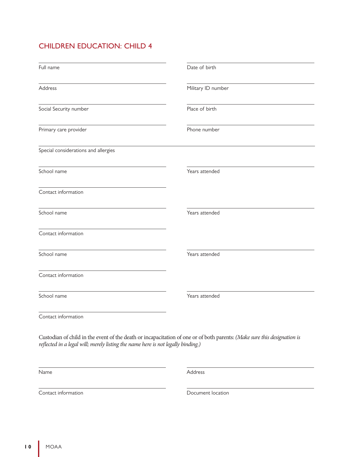| Full name                                                                                                                                                                                                    | Date of birth      |
|--------------------------------------------------------------------------------------------------------------------------------------------------------------------------------------------------------------|--------------------|
| Address                                                                                                                                                                                                      | Military ID number |
| Social Security number                                                                                                                                                                                       | Place of birth     |
| Primary care provider                                                                                                                                                                                        | Phone number       |
| Special considerations and allergies                                                                                                                                                                         |                    |
| School name                                                                                                                                                                                                  | Years attended     |
| Contact information                                                                                                                                                                                          |                    |
| School name                                                                                                                                                                                                  | Years attended     |
| Contact information                                                                                                                                                                                          |                    |
| School name                                                                                                                                                                                                  | Years attended     |
| Contact information                                                                                                                                                                                          |                    |
| School name                                                                                                                                                                                                  | Years attended     |
| Contact information                                                                                                                                                                                          |                    |
| Custodian of child in the event of the death or incapacitation of one or of both parents: (Make sure this designation is<br>reflected in a legal will; merely listing the name here is not legally binding.) |                    |

Name

Address

Contact information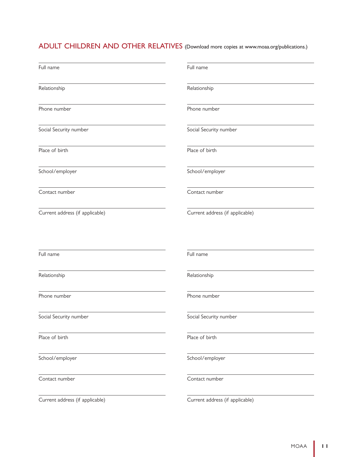ADULT CHILDREN AND OTHER RELATIVES (Download more copies at www.moaa.org/publications.)

| Full name                       | Full name                       |
|---------------------------------|---------------------------------|
| Relationship                    | Relationship                    |
| Phone number                    | Phone number                    |
| Social Security number          | Social Security number          |
| Place of birth                  | Place of birth                  |
| School/employer                 | School/employer                 |
| Contact number                  | Contact number                  |
| Current address (if applicable) | Current address (if applicable) |
| Full name                       | Full name                       |
|                                 |                                 |
| Relationship                    | Relationship                    |
| Phone number                    | Phone number                    |
| Social Security number          | Social Security number          |
| Place of birth                  | Place of birth                  |
| School/employer                 | School/employer                 |
| Contact number                  | Contact number                  |
| Current address (if applicable) | Current address (if applicable) |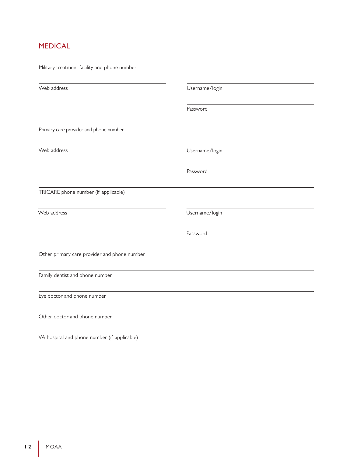# MEDICAL

| Military treatment facility and phone number |                |  |
|----------------------------------------------|----------------|--|
| Web address                                  | Username/login |  |
|                                              | Password       |  |
| Primary care provider and phone number       |                |  |
| Web address                                  | Username/login |  |
|                                              | Password       |  |
| TRICARE phone number (if applicable)         |                |  |
| Web address                                  | Username/login |  |
|                                              | Password       |  |
| Other primary care provider and phone number |                |  |
| Family dentist and phone number              |                |  |
| Eye doctor and phone number                  |                |  |
| Other doctor and phone number                |                |  |

VA hospital and phone number (if applicable)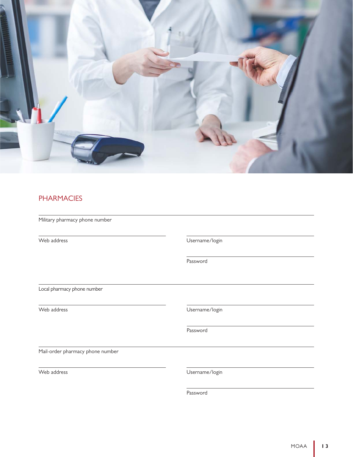

# **PHARMACIES**

Military pharmacy phone number

Web address **Web** address **User and Accord 2019** Username/login

Password

Local pharmacy phone number

Web address **Web** address **User and Allen Controller** Username/login

Password

Mail-order pharmacy phone number

Web address Username/login

Password

 $\overline{a}$ 

 $\overline{a}$ 

 $\overline{a}$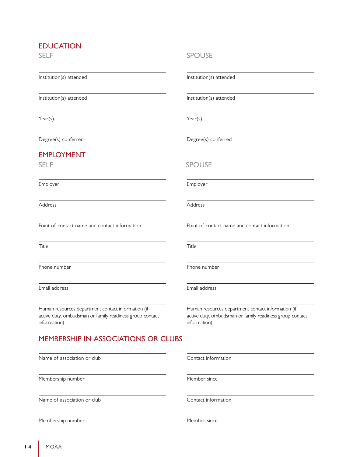### EDUCATION

SELF

Institution(s) attended

Institution(s) attended

Year(s)

Degree(s) conferred

### EMPLOYMENT

Employer

Address

Point of contact name and contact information

Title

Phone number

Email address

Human resources department contact information (if active duty, ombudsman or family readiness group contact information)

## MEMBERSHIP IN ASSOCIATIONS OR CLUBS

Name of association or club

Membership number

Name of association or club

Membership number

#### SPOUSE

Institution(s) attended

Institution(s) attended

Year(s)

Degree(s) conferred

#### SELF SPOUSE

Employer

Address

Point of contact name and contact information

Title

Phone number

Email address

Human resources department contact information (if active duty, ombudsman or family readiness group contact information)

Contact information

Member since

Contact information

Member since

**1 4** MOAA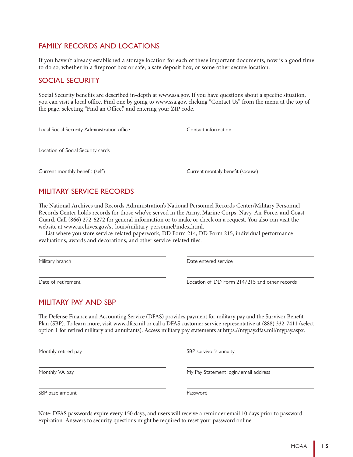### FAMILY RECORDS AND LOCATIONS

If you haven't already established a storage location for each of these important documents, now is a good time to do so, whether in a fireproof box or safe, a safe deposit box, or some other secure location.

#### SOCIAL SECURITY

Social Security benefits are described in-depth at www.ssa.gov. If you have questions about a specific situation, you can visit a local office. Find one by going to www.ssa.gov, clicking "Contact Us" from the menu at the top of the page, selecting "Find an Office," and entering your ZIP code.

| Local Social Security Administration office | Contact information              |
|---------------------------------------------|----------------------------------|
|                                             |                                  |
| Location of Social Security cards           |                                  |
|                                             |                                  |
| Current monthly benefit (self)              | Current monthly benefit (spouse) |

# MILITARY SERVICE RECORDS

The National Archives and Records Administration's National Personnel Records Center/Military Personnel Records Center holds records for those who've served in the Army, Marine Corps, Navy, Air Force, and Coast Guard. Call (866) 272-6272 for general information or to make or check on a request. You also can visit the website at www.archives.gov/st-louis/military-personnel/index.html.

List where you store service-related paperwork, DD Form 214, DD Form 215, individual performance evaluations, awards and decorations, and other service-related files.

Military branch

Date of retirement

Date entered service

Location of DD Form 214/215 and other records

### MILITARY PAY AND SBP

The Defense Finance and Accounting Service (DFAS) provides payment for military pay and the Survivor Benefit Plan (SBP). To learn more, visit www.dfas.mil or call a DFAS customer service representative at (888) 332-7411 (select option 1 for retired military and annuitants). Access military pay statements at https://mypay.dfas.mil/mypay.aspx.

Monthly retired pay

Monthly VA pay

SBP survivor's annuity

My Pay Statement login/email address

SBP base amount

Password

Note: DFAS passwords expire every 150 days, and users will receive a reminder email 10 days prior to password expiration. Answers to security questions might be required to reset your password online.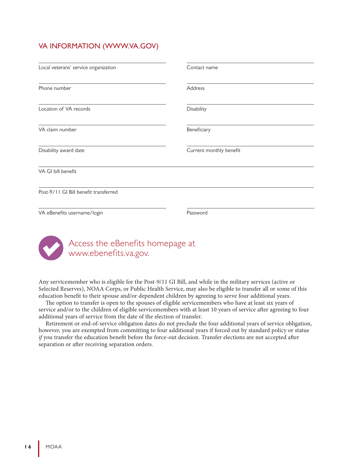# VA INFORMATION (WWW.VA.GOV)

| Local veterans' service organization  | Contact name            |  |
|---------------------------------------|-------------------------|--|
| Phone number                          | Address                 |  |
| Location of VA records                | Disability              |  |
| VA claim number                       | Beneficiary             |  |
| Disability award date                 | Current monthly benefit |  |
| VA GI bill benefit                    |                         |  |
| Post-9/11 GI Bill benefit transferred |                         |  |
| VA eBenefits username/login           | Password                |  |
|                                       |                         |  |



# Access the eBenefits homepage at www.ebenefits.va.gov.

Any servicemember who is eligible for the Post-9/11 GI Bill, and while in the military services (active or Selected Reserves), NOAA Corps, or Public Health Service, may also be eligible to transfer all or some of this education benefit to their spouse and/or dependent children by agreeing to serve four additional years.

The option to transfer is open to the spouses of eligible servicemembers who have at least six years of service and/or to the children of eligible servicemembers with at least 10 years of service after agreeing to four additional years of service from the date of the election of transfer.

Retirement or end-of-service obligation dates do not preclude the four additional years of service obligation, however, you are exempted from committing to four additional years if forced out by standard policy or statue *if* you transfer the education benefit before the force-out decision. Transfer elections are not accepted after separation or after receiving separation orders.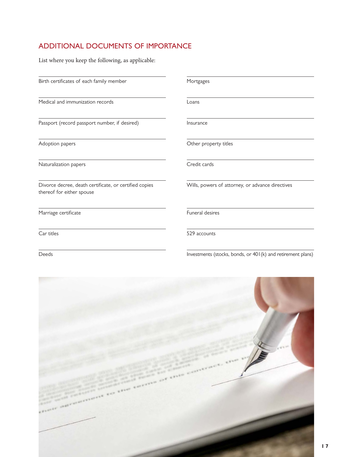# ADDITIONAL DOCUMENTS OF IMPORTANCE

List where you keep the following, as applicable:

Birth certificates of each family member

Medical and immunization records

Passport (record passport number, if desired)

Adoption papers

Naturalization papers

Divorce decree, death certificate, or certified copies thereof for either spouse

Marriage certificate

Car titles

Deeds

Mortgages

Loans

Insurance

Other property titles

Credit cards

Wills, powers of attorney, or advance directives

Funeral desires

529 accounts

Investments (stocks, bonds, or 401(k) and retirement plans)

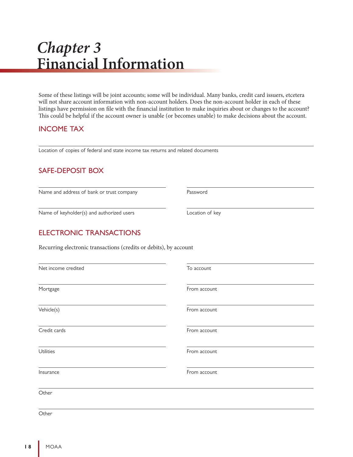# *Chapter 3* **Financial Information**

Some of these listings will be joint accounts; some will be individual. Many banks, credit card issuers, etcetera will not share account information with non-account holders. Does the non-account holder in each of these listings have permission on file with the financial institution to make inquiries about or changes to the account? This could be helpful if the account owner is unable (or becomes unable) to make decisions about the account.

### INCOME TAX

Location of copies of federal and state income tax returns and related documents

# SAFE-DEPOSIT BOX

Name and address of bank or trust company

Name of keyholder(s) and authorized users

Password

Location of key

 $\overline{a}$ 

## ELECTRONIC TRANSACTIONS

Recurring electronic transactions (credits or debits), by account

| Net income credited | To account   |
|---------------------|--------------|
| Mortgage            | From account |
| Vehicle(s)          | From account |
| Credit cards        | From account |
| Utilities           | From account |
| Insurance           | From account |
| Other               |              |
|                     |              |

**Other**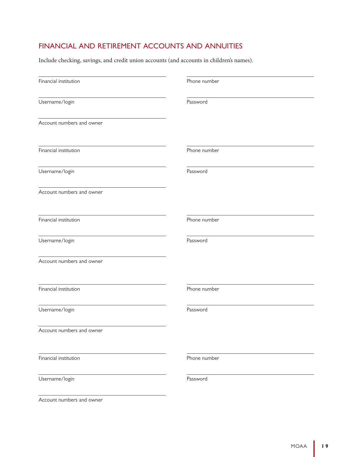# FINANCIAL AND RETIREMENT ACCOUNTS AND ANNUITIES

Include checking, savings, and credit union accounts (and accounts in children's names).

| Financial institution     | Phone number |
|---------------------------|--------------|
| Username/login            | Password     |
| Account numbers and owner |              |
| Financial institution     | Phone number |
| Username/login            | Password     |
| Account numbers and owner |              |
| Financial institution     | Phone number |
| Username/login            | Password     |
| Account numbers and owner |              |
| Financial institution     | Phone number |
| Username/login            | Password     |
| Account numbers and owner |              |
| Financial institution     | Phone number |
| Username/login            | Password     |

Account numbers and owner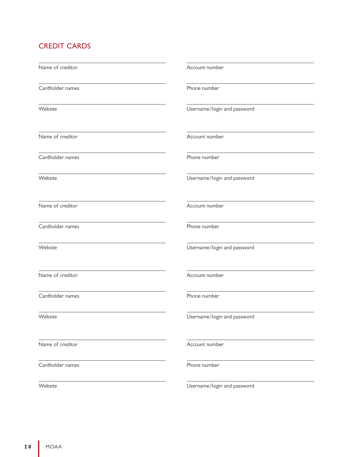# CREDIT CARDS

| Name of creditor | Account number              |
|------------------|-----------------------------|
| Cardholder names | Phone number                |
| Website          | Username/login and password |
| Name of creditor | Account number              |
| Cardholder names | Phone number                |
| Website          | Username/login and password |
| Name of creditor | Account number              |
| Cardholder names | Phone number                |
| Website          | Username/login and password |
| Name of creditor | Account number              |
| Cardholder names | Phone number                |
| Website          | Username/login and password |
| Name of creditor | Account number              |
| Cardholder names | Phone number                |
| Website          | Username/login and password |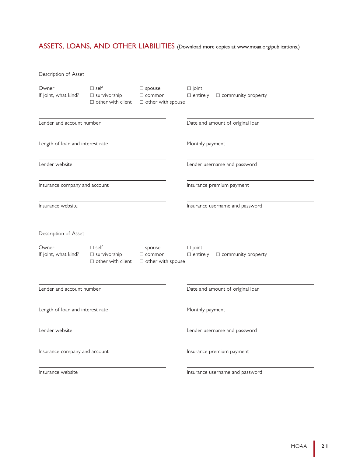# ASSETS, LOANS, AND OTHER LIABILITIES (Download more copies at www.moaa.org/publications.)

| Description of Asset             |                                                                |                                                            |                                                                 |
|----------------------------------|----------------------------------------------------------------|------------------------------------------------------------|-----------------------------------------------------------------|
| Owner<br>If joint, what kind?    | $\Box$ self<br>$\Box$ survivorship<br>$\Box$ other with client | $\Box$ spouse<br>$\Box$ common<br>$\Box$ other with spouse | $\square$ joint<br>$\Box$ entirely<br>$\Box$ community property |
| Lender and account number        |                                                                |                                                            | Date and amount of original loan                                |
| Length of loan and interest rate |                                                                |                                                            | Monthly payment                                                 |
| Lender website                   |                                                                |                                                            | Lender username and password                                    |
| Insurance company and account    |                                                                |                                                            | Insurance premium payment                                       |
| Insurance website                |                                                                |                                                            | Insurance username and password                                 |
| Description of Asset             |                                                                |                                                            |                                                                 |
| Owner<br>If joint, what kind?    | $\Box$ self<br>$\Box$ survivorship<br>$\Box$ other with client | $\Box$ spouse<br>$\Box$ common<br>$\Box$ other with spouse | $\square$ joint<br>$\Box$ entirely<br>$\Box$ community property |
| Lender and account number        |                                                                |                                                            | Date and amount of original loan                                |
| Length of loan and interest rate |                                                                |                                                            | Monthly payment                                                 |
| Lender website                   |                                                                |                                                            | Lender username and password                                    |
| Insurance company and account    |                                                                |                                                            | Insurance premium payment                                       |
| Insurance website                |                                                                |                                                            | Insurance username and password                                 |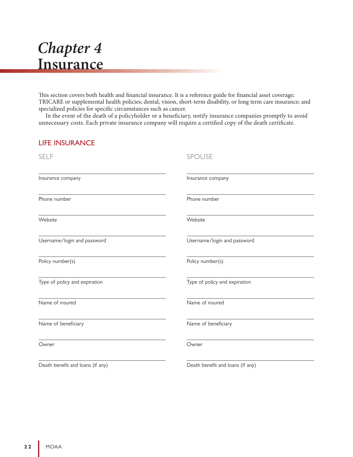# *Chapter 4* **Insurance**

This section covers both health and financial insurance. It is a reference guide for financial asset coverage; TRICARE or supplemental health policies; dental, vision, short-term disability, or long term care insurance; and specialized policies for specific circumstances such as cancer.

In the event of the death of a policyholder or a beneficiary, notify insurance companies promptly to avoid unnecessary costs. Each private insurance company will require a certified copy of the death certificate.

| <b>LIFE INSURANCE</b>            |                                  |
|----------------------------------|----------------------------------|
| <b>SELF</b>                      | <b>SPOUSE</b>                    |
| Insurance company                | Insurance company                |
| Phone number                     | Phone number                     |
| Website                          | Website                          |
| Username/login and password      | Username/login and password      |
| Policy number(s)                 | Policy number(s)                 |
| Type of policy and expiration    | Type of policy and expiration    |
| Name of insured                  | Name of insured                  |
| Name of beneficiary              | Name of beneficiary              |
| Owner                            | Owner                            |
| Death benefit and loans (if any) | Death benefit and loans (if any) |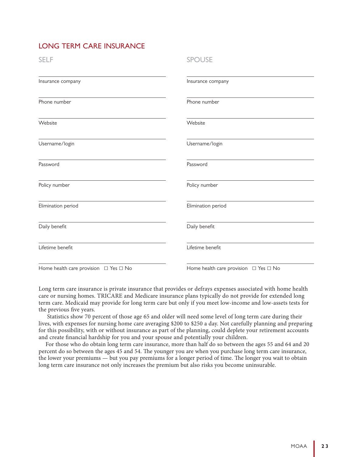# LONG TERM CARE INSURANCE

| <b>SELF</b>                                     | <b>SPOUSE</b>                                   |
|-------------------------------------------------|-------------------------------------------------|
| Insurance company                               | Insurance company                               |
| Phone number                                    | Phone number                                    |
| Website                                         | Website                                         |
| Username/login                                  | Username/login                                  |
| Password                                        | Password                                        |
| Policy number                                   | Policy number                                   |
| Elimination period                              | Elimination period                              |
| Daily benefit                                   | Daily benefit                                   |
| Lifetime benefit                                | Lifetime benefit                                |
| Home health care provision $\Box$ Yes $\Box$ No | Home health care provision $\Box$ Yes $\Box$ No |

Long term care insurance is private insurance that provides or defrays expenses associated with home health care or nursing homes. TRICARE and Medicare insurance plans typically do not provide for extended long term care. Medicaid may provide for long term care but only if you meet low-income and low-assets tests for the previous five years.

 Statistics show 70 percent of those age 65 and older will need some level of long term care during their lives, with expenses for nursing home care averaging \$200 to \$250 a day. Not carefully planning and preparing for this possibility, with or without insurance as part of the planning, could deplete your retirement accounts and create financial hardship for you and your spouse and potentially your children.

For those who do obtain long term care insurance, more than half do so between the ages 55 and 64 and 20 percent do so between the ages 45 and 54. The younger you are when you purchase long term care insurance, the lower your premiums — but you pay premiums for a longer period of time. The longer you wait to obtain long term care insurance not only increases the premium but also risks you become uninsurable.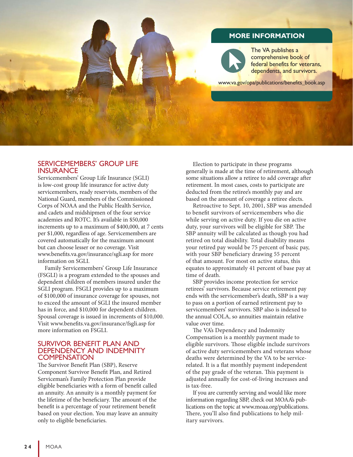### **MORE INFORMATION**

The VA publishes a comprehensive book of federal benefits for veterans, dependents, and survivors.

www.va.gov/opa/publications/benefits\_book.asp

#### SERVICEMEMBERS' GROUP LIFE **INSURANCE**

Servicemembers' Group Life Insurance (SGLI) is low-cost group life insurance for active duty servicemembers, ready reservists, members of the National Guard, members of the Commissioned Corps of NOAA and the Public Health Service, and cadets and midshipmen of the four service academies and ROTC. It's available in \$50,000 increments up to a maximum of \$400,000, at 7 cents per \$1,000, regardless of age. Servicemembers are covered automatically for the maximum amount but can choose lesser or no coverage. Visit www.benefits.va.gov/insurance/sgli.asp for more information on SGLI.

Family Servicemembers' Group Life Insurance (FSGLI) is a program extended to the spouses and dependent children of members insured under the SGLI program. FSGLI provides up to a maximum of \$100,000 of insurance coverage for spouses, not to exceed the amount of SGLI the insured member has in force, and \$10,000 for dependent children. Spousal coverage is issued in increments of \$10,000. Visit www.benefits.va.gov/insurance/fsgli.asp for more information on FSGLI.

#### SURVIVOR BENEFIT PLAN AND DEPENDENCY AND INDEMNITY **COMPENSATION**

The Survivor Benefit Plan (SBP), Reserve Component Survivor Benefit Plan, and Retired Serviceman's Family Protection Plan provide eligible beneficiaries with a form of benefit called an annuity. An annuity is a monthly payment for the lifetime of the beneficiary. The amount of the benefit is a percentage of your retirement benefit based on your election. You may leave an annuity only to eligible beneficiaries.

Election to participate in these programs generally is made at the time of retirement, although some situations allow a retiree to add coverage after retirement. In most cases, costs to participate are deducted from the retiree's monthly pay and are based on the amount of coverage a retiree elects.

Retroactive to Sept. 10, 2001, SBP was amended to benefit survivors of servicemembers who die while serving on active duty. If you die on active duty, your survivors will be eligible for SBP. The SBP annuity will be calculated as though you had retired on total disability. Total disability means your retired pay would be 75 percent of basic pay, with your SBP beneficiary drawing 55 percent of that amount. For most on active status, this equates to approximately 41 percent of base pay at time of death.

SBP provides income protection for service retirees' survivors. Because service retirement pay ends with the servicemember's death, SBP is a way to pass on a portion of earned retirement pay to servicemembers' survivors. SBP also is indexed to the annual COLA, so annuities maintain relative value over time.

The VA's Dependency and Indemnity Compensation is a monthly payment made to eligible survivors. Those eligible include survivors of active duty servicemembers and veterans whose deaths were determined by the VA to be servicerelated. It is a flat monthly payment independent of the pay grade of the veteran. This payment is adjusted annually for cost-of-living increases and is tax-free.

If you are currently serving and would like more information regarding SBP, check out MOAA's publications on the topic at www.moaa.org/publications. There, you'll also find publications to help military survivors.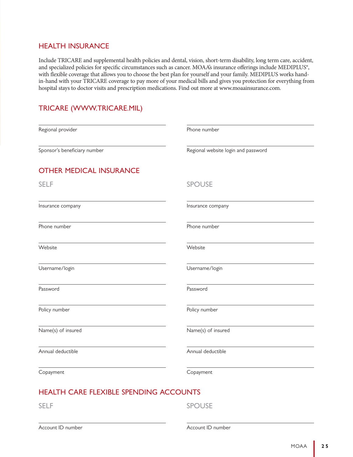#### HEALTH INSURANCE

Include TRICARE and supplemental health policies and dental, vision, short-term disability, long term care, accident, and specialized policies for specific circumstances such as cancer. MOAA's insurance offerings include MEDIPLUS®, with flexible coverage that allows you to choose the best plan for yourself and your family. MEDIPLUS works handin-hand with your TRICARE coverage to pay more of your medical bills and gives you protection for everything from hospital stays to doctor visits and prescription medications. Find out more at www.moaainsurance.com.

# TRICARE (WWW.TRICARE.MIL)

| Phone number                        |
|-------------------------------------|
| Regional website login and password |
|                                     |
| <b>SPOUSE</b>                       |
| Insurance company                   |
| Phone number                        |
| Website                             |
| Username/login                      |
| Password                            |
| Policy number                       |
| Name(s) of insured                  |
| Annual deductible                   |
| Copayment                           |
|                                     |

# HEALTH CARE FLEXIBLE SPENDING ACCOUNTS

SELF SPOUSE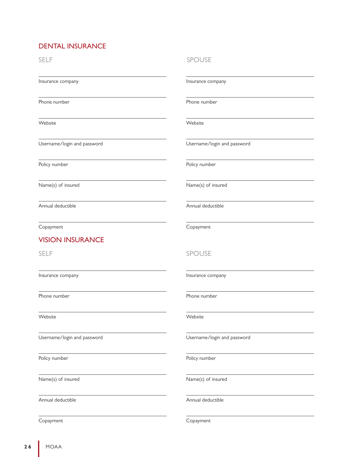# DENTAL INSURANCE

SELF SPOUSE Insurance company Phone number Website Username/login and password Policy number Name(s) of insured Annual deductible Copayment Insurance company Phone number Website Username/login and password Policy number Name(s) of insured Annual deductible Copayment SELF SPOUSE Insurance company Phone number Website Username/login and password Policy number Name(s) of insured Annual deductible Insurance company Phone number Website Username/login and password Policy number Name(s) of insured Annual deductible VISION INSURANCE

Copayment

Copayment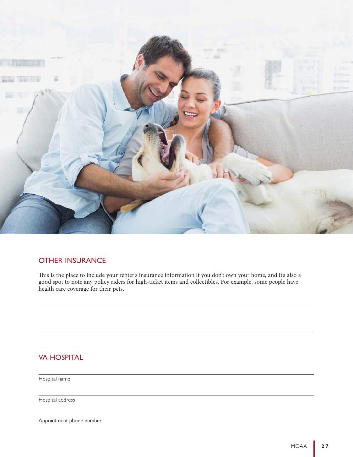

## OTHER INSURANCE

This is the place to include your renter's insurance information if you don't own your home, and it's also a good spot to note any policy riders for high-ticket items and collectibles. For example, some people have health care coverage for their pets.

# VA HOSPITAL

Hospital name

Hospital address

Appointment phone number

 $\overline{a}$ 

 $\overline{a}$ 

 $\overline{a}$ 

 $\overline{a}$ 

 $\overline{a}$ 

 $\overline{a}$ 

 $\overline{a}$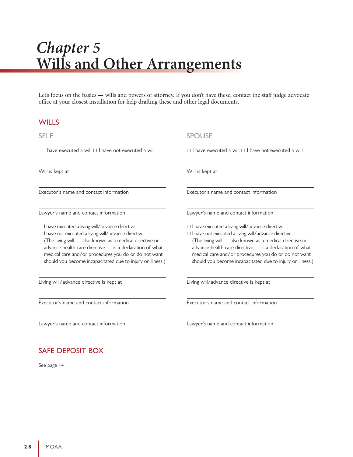# *Chapter 5* **Wills and Other Arrangements**

Let's focus on the basics — wills and powers of attorney. If you don't have these, contact the staff judge advocate office at your closest installation for help drafting these and other legal documents.

#### **WILLS**

 $\Box$  I have executed a will  $\Box$  I have not executed a will

Will is kept at

Executor's name and contact information

Lawyer's name and contact information

 $\Box$  I have executed a living will/advance directive

 $\Box$  I have not executed a living will/advance directive (The living will — also known as a medical directive or advance health care directive — is a declaration of what medical care and/or procedures you do or do not want should you become incapacitated due to injury or illness.)

Living will/advance directive is kept at

Executor's name and contact information

Lawyer's name and contact information

# SAFE DEPOSIT BOX

See page 14

#### SELF SPOUSE

 $\Box$  I have executed a will  $\Box$  I have not executed a will

Will is kept at

Executor's name and contact information

Lawyer's name and contact information

 $\Box$  I have executed a living will/advance directive  $\Box$  I have not executed a living will/advance directive (The living will — also known as a medical directive or advance health care directive — is a declaration of what medical care and/or procedures you do or do not want should you become incapacitated due to injury or illness.)

Living will/advance directive is kept at

Executor's name and contact information

Lawyer's name and contact information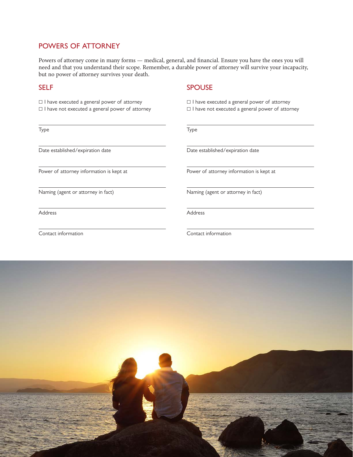## POWERS OF ATTORNEY

Powers of attorney come in many forms — medical, general, and financial. Ensure you have the ones you will need and that you understand their scope. Remember, a durable power of attorney will survive your incapacity, but no power of attorney survives your death.

 $\Box$  I have executed a general power of attorney

 $\Box$  I have not executed a general power of attorney

Type

Date established/expiration date

Power of attorney information is kept at

Naming (agent or attorney in fact)

Address

Contact information

SELF SELF SPOUSE

 $\Box$  I have executed a general power of attorney  $\Box$  I have not executed a general power of attorney

Type

Date established/expiration date

Power of attorney information is kept at

Naming (agent or attorney in fact)

Address

Contact information

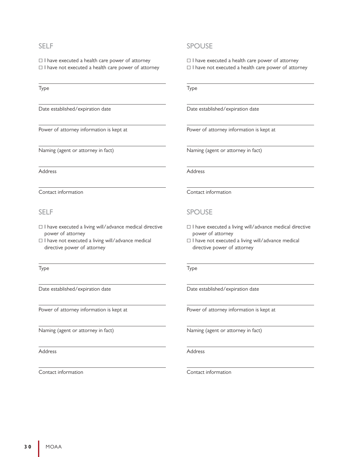$\Box$  I have executed a health care power of attorney  $\Box$  I have not executed a health care power of attorney

Type

Date established/expiration date

Power of attorney information is kept at

Naming (agent or attorney in fact)

Address

Contact information

- $\Box$  I have executed a living will/advance medical directive power of attorney
- $\square$  I have not executed a living will/advance medical directive power of attorney

Type

Date established/expiration date

Power of attorney information is kept at

Naming (agent or attorney in fact)

Address

Contact information

#### SELF SPOUSE

 $\Box$  I have executed a health care power of attorney

 $\Box$  I have not executed a health care power of attorney

Type

Date established/expiration date

Power of attorney information is kept at

Naming (agent or attorney in fact)

Address

Contact information

#### SELF SPOUSE

- $\Box$  I have executed a living will/advance medical directive power of attorney
- $\Box$  I have not executed a living will/advance medical directive power of attorney

Type

Date established/expiration date

Power of attorney information is kept at

Naming (agent or attorney in fact)

Address

Contact information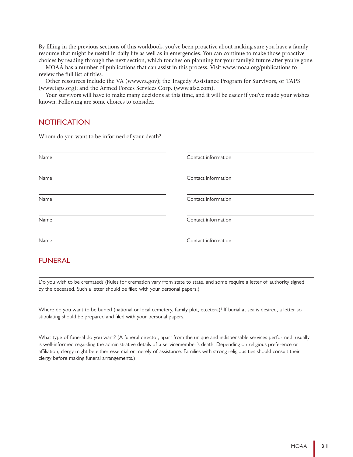By filling in the previous sections of this workbook, you've been proactive about making sure you have a family resource that might be useful in daily life as well as in emergencies. You can continue to make those proactive choices by reading through the next section, which touches on planning for your family's future after you're gone.

MOAA has a number of publications that can assist in this process. Visit www.moaa.org/publications to review the full list of titles.

Other resources include the VA (www.va.gov); the Tragedy Assistance Program for Survivors, or TAPS (www.taps.org); and the Armed Forces Services Corp. (www.afsc.com).

Your survivors will have to make many decisions at this time, and it will be easier if you've made your wishes known. Following are some choices to consider.

#### **NOTIFICATION**

Whom do you want to be informed of your death?

| Name | Contact information |
|------|---------------------|
|      |                     |
| Name | Contact information |
| Name | Contact information |
| Name | Contact information |
| Name | Contact information |

#### FUNERAL

Do you wish to be cremated? (Rules for cremation vary from state to state, and some require a letter of authority signed by the deceased. Such a letter should be filed with your personal papers.)

Where do you want to be buried (national or local cemetery, family plot, etcetera)? If burial at sea is desired, a letter so stipulating should be prepared and filed with your personal papers.

What type of funeral do you want? (A funeral director, apart from the unique and indispensable services performed, usually is well-informed regarding the administrative details of a servicemember's death. Depending on religious preference or affiliation, clergy might be either essential or merely of assistance. Families with strong religious ties should consult their clergy before making funeral arrangements.)

 $\overline{a}$ 

 $\overline{a}$ 

 $\overline{a}$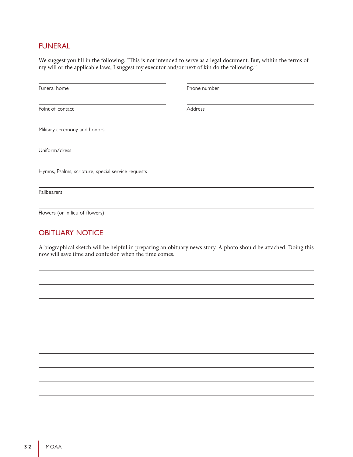# FUNERAL

We suggest you fill in the following: "This is not intended to serve as a legal document. But, within the terms of my will or the applicable laws, I suggest my executor and/or next of kin do the following:"

| Funeral home                                       | Phone number |  |
|----------------------------------------------------|--------------|--|
| Point of contact                                   | Address      |  |
| Military ceremony and honors                       |              |  |
| Uniform/dress                                      |              |  |
| Hymns, Psalms, scripture, special service requests |              |  |
| Pallbearers                                        |              |  |
| Flowers (or in lieu of flowers)                    |              |  |

# OBITUARY NOTICE

A biographical sketch will be helpful in preparing an obituary news story. A photo should be attached. Doing this now will save time and confusion when the time comes.

 $\overline{a}$ 

 $\overline{a}$ 

 $\overline{a}$ 

 $\overline{a}$ 

 $\overline{a}$ 

 $\overline{a}$ 

 $\overline{a}$ 

 $\overline{a}$ 

 $\overline{a}$ 

 $\overline{a}$ 

 $\overline{a}$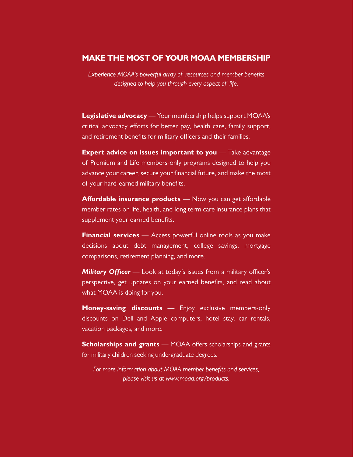#### **MAKE THE MOST OF YOUR MOAA MEMBERSHIP**

*Experience MOAA's powerful array of resources and member benefits designed to help you through every aspect of life.*

**Legislative advocacy** — Your membership helps support MOAA's critical advocacy efforts for better pay, health care, family support, and retirement benefits for military officers and their families.

**Expert advice on issues important to you** — Take advantage of Premium and Life members-only programs designed to help you advance your career, secure your financial future, and make the most of your hard-earned military benefits.

**Affordable insurance products** — Now you can get affordable member rates on life, health, and long term care insurance plans that supplement your earned benefits.

**Financial services** — Access powerful online tools as you make decisions about debt management, college savings, mortgage comparisons, retirement planning, and more.

*Military Officer* — Look at today's issues from a military officer's perspective, get updates on your earned benefits, and read about what MOAA is doing for you.

**Money-saving discounts** — Enjoy exclusive members-only discounts on Dell and Apple computers, hotel stay, car rentals, vacation packages, and more.

**Scholarships and grants** — MOAA offers scholarships and grants for military children seeking undergraduate degrees.

*For more information about MOAA member benefits and services, please visit us at www.moaa.org/products.*